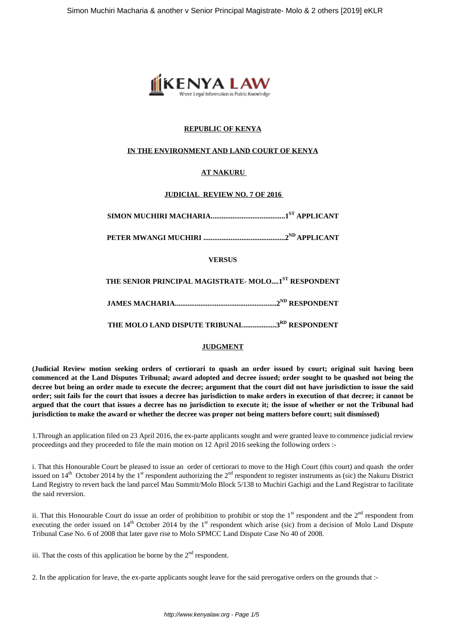

## **REPUBLIC OF KENYA**

### **IN THE ENVIRONMENT AND LAND COURT OF KENYA**

## **AT NAKURU**

### **JUDICIAL REVIEW NO. 7 OF 2016**

**SIMON MUCHIRI MACHARIA.........................................1ST APPLICANT**

**PETER MWANGI MUCHIRI .............................................2ND APPLICANT**

### **VERSUS**

**THE SENIOR PRINCIPAL MAGISTRATE- MOLO....1ST RESPONDENT**

**JAMES MACHARIA........................................................2ND RESPONDENT**

**THE MOLO LAND DISPUTE TRIBUNAL..................3RD RESPONDENT**

### **JUDGMENT**

**(Judicial Review motion seeking orders of certiorari to quash an order issued by court; original suit having been commenced at the Land Disputes Tribunal; award adopted and decree issued; order sought to be quashed not being the decree but being an order made to execute the decree; argument that the court did not have jurisdiction to issue the said order; suit fails for the court that issues a decree has jurisdiction to make orders in execution of that decree; it cannot be argued that the court that issues a decree has no jurisdiction to execute it; the issue of whether or not the Tribunal had jurisdiction to make the award or whether the decree was proper not being matters before court; suit dismissed)** 

1.Through an application filed on 23 April 2016, the ex-parte applicants sought and were granted leave to commence judicial review proceedings and they proceeded to file the main motion on 12 April 2016 seeking the following orders :-

i. That this Honourable Court be pleased to issue an order of certiorari to move to the High Court (this court) and quash the order issued on  $14<sup>th</sup>$  October 2014 by the 1<sup>st</sup> respondent authorizing the  $2<sup>nd</sup>$  respondent to register instruments as (sic) the Nakuru District Land Registry to revert back the land parcel Mau Summit/Molo Block 5/138 to Muchiri Gachigi and the Land Registrar to facilitate the said reversion.

ii. That this Honourable Court do issue an order of prohibition to prohibit or stop the  $1<sup>st</sup>$  respondent and the  $2<sup>nd</sup>$  respondent from executing the order issued on  $14<sup>th</sup>$  October 2014 by the 1<sup>st</sup> respondent which arise (sic) from a decision of Molo Land Dispute Tribunal Case No. 6 of 2008 that later gave rise to Molo SPMCC Land Dispute Case No 40 of 2008.

iii. That the costs of this application be borne by the  $2<sup>nd</sup>$  respondent.

2. In the application for leave, the ex-parte applicants sought leave for the said prerogative orders on the grounds that :-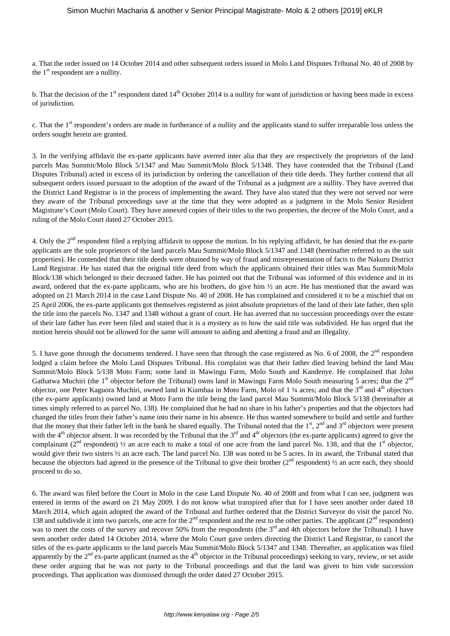a. That the order issued on 14 October 2014 and other subsequent orders issued in Molo Land Disputes Tribunal No. 40 of 2008 by the  $1<sup>st</sup>$  respondent are a nullity.

b. That the decision of the  $1<sup>st</sup>$  respondent dated  $14<sup>th</sup>$  October 2014 is a nullity for want of jurisdiction or having been made in excess of jurisdiction.

c. That the 1<sup>st</sup> respondent's orders are made in furtherance of a nullity and the applicants stand to suffer irreparable loss unless the orders sought herein are granted.

3. In the verifying affidavit the ex-parte applicants have averred inter alia that they are respectively the proprietors of the land parcels Mau Summit/Molo Block 5/1347 and Mau Summit/Molo Block 5/1348. They have contended that the Tribunal (Land Disputes Tribunal) acted in excess of its jurisdiction by ordering the cancellation of their title deeds. They further contend that all subsequent orders issued pursuant to the adoption of the award of the Tribunal as a judgment are a nullity. They have averred that the District Land Registrar is in the process of implementing the award. They have also stated that they were not served nor were they aware of the Tribunal proceedings save at the time that they were adopted as a judgment in the Molo Senior Resident Magistrate's Court (Molo Court). They have annexed copies of their titles to the two properties, the decree of the Molo Court, and a ruling of the Molo Court dated 27 October 2015.

4. Only the 2<sup>nd</sup> respondent filed a replying affidavit to oppose the motion. In his replying affidavit, he has denied that the ex-parte applicants are the sole proprietors of the land parcels Mau Summit/Molo Block 5/1347 and 1348 (hereinafter referred to as the suit properties). He contended that their title deeds were obtained by way of fraud and misrepresentation of facts to the Nakuru District Land Registrar. He has stated that the original title deed from which the applicants obtained their titles was Mau Summit/Molo Block/138 which belonged to their deceased father. He has pointed out that the Tribunal was informed of this evidence and in its award, ordered that the ex-parte applicants, who are his brothers, do give him ½ an acre. He has mentioned that the award was adopted on 21 March 2014 in the case Land Dispute No. 40 of 2008. He has complained and considered it to be a mischief that on 25 April 2006, the ex-parte applicants got themselves registered as joint absolute proprietors of the land of their late father, then split the title into the parcels No. 1347 and 1348 without a grant of court. He has averred that no succession proceedings over the estate of their late father has ever been filed and stated that it is a mystery as to how the said title was subdivided. He has urged that the motion herein should not be allowed for the same will amount to aiding and abetting a fraud and an illegality.

5. I have gone through the documents tendered. I have seen that through the case registered as No. 6 of 2008, the  $2<sup>nd</sup>$  respondent lodged a claim before the Molo Land Disputes Tribunal. His complaint was that their father died leaving behind the land Mau Summit/Molo Block 5/138 Moto Farm; some land in Mawingu Farm, Molo South and Kandenye. He complained that John Gathatwa Muchiri (the 1<sup>st</sup> objector before the Tribunal) owns land in Mawingu Farm Molo South measuring 5 acres; that the  $2<sup>nd</sup>$ objector, one Peter Kaguora Muchiri, owned land in Kiambaa in Moto Farm, Molo of 1 ¼ acres; and that the  $3<sup>rd</sup>$  and  $4<sup>th</sup>$  objectors (the ex-parte applicants) owned land at Moto Farm the title being the land parcel Mau Summit/Molo Block 5/138 (hereinafter at times simply referred to as parcel No. 138). He complained that he had no share in his father's properties and that the objectors had changed the titles from their father's name into their name in his absence. He thus wanted somewhere to build and settle and further that the money that their father left in the bank be shared equally. The Tribunal noted that the  $1<sup>st</sup>$ ,  $2<sup>nd</sup>$  and  $3<sup>rd</sup>$  objectors were present with the  $4<sup>th</sup>$  objector absent. It was recorded by the Tribunal that the  $3<sup>rd</sup>$  and  $4<sup>th</sup>$  objectors (the ex-parte applicants) agreed to give the complainant ( $2<sup>nd</sup>$  respondent)  $\frac{1}{2}$  an acre each to make a total of one acre from the land parcel No. 138, and that the 1<sup>st</sup> objector, would give their two sisters  $\frac{1}{2}$  an acre each. The land parcel No. 138 was noted to be 5 acres. In its award, the Tribunal stated that because the objectors had agreed in the presence of the Tribunal to give their brother  $(2<sup>nd</sup>$  respondent)  $\frac{1}{2}$  an acre each, they should proceed to do so.

6. The award was filed before the Court in Molo in the case Land Dispute No. 40 of 2008 and from what I can see, judgment was entered in terms of the award on 21 May 2009. I do not know what transpired after that for I have seen another order dated 18 March 2014, which again adopted the award of the Tribunal and further ordered that the District Surveyor do visit the parcel No. 138 and subdivide it into two parcels, one acre for the  $2<sup>nd</sup>$  respondent and the rest to the other parties. The applicant ( $2<sup>nd</sup>$  respondent) was to meet the costs of the survey and recover 50% from the respondents (the 3<sup>rd</sup> and 4th objectors before the Tribunal). I have seen another order dated 14 October 2014, where the Molo Court gave orders directing the District Land Registrar, to cancel the titles of the ex-parte applicants to the land parcels Mau Summit/Molo Block 5/1347 and 1348. Thereafter, an application was filed apparently by the  $2<sup>nd</sup>$  ex-parte applicant (named as the  $4<sup>th</sup>$  objector in the Tribunal proceedings) seeking to vary, review, or set aside these order arguing that he was not party to the Tribunal proceedings and that the land was given to him vide succession proceedings. That application was dismissed through the order dated 27 October 2015.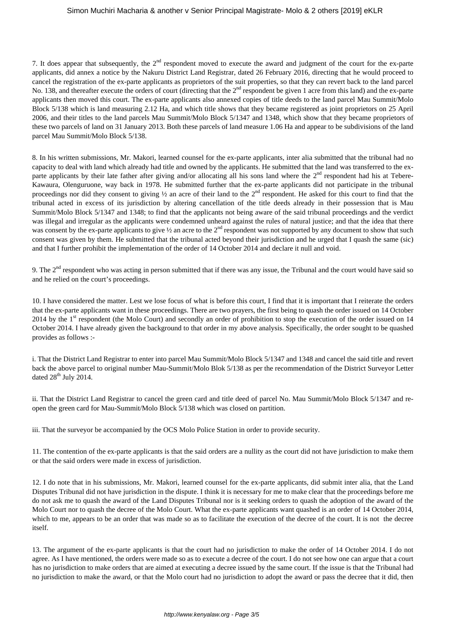#### Simon Muchiri Macharia & another v Senior Principal Magistrate- Molo & 2 others [2019] eKLR

7. It does appear that subsequently, the 2nd respondent moved to execute the award and judgment of the court for the ex-parte applicants, did annex a notice by the Nakuru District Land Registrar, dated 26 February 2016, directing that he would proceed to cancel the registration of the ex-parte applicants as proprietors of the suit properties, so that they can revert back to the land parcel No. 138, and thereafter execute the orders of court (directing that the 2<sup>nd</sup> respondent be given 1 acre from this land) and the ex-parte applicants then moved this court. The ex-parte applicants also annexed copies of title deeds to the land parcel Mau Summit/Molo Block 5/138 which is land measuring 2.12 Ha, and which title shows that they became registered as joint proprietors on 25 April 2006, and their titles to the land parcels Mau Summit/Molo Block 5/1347 and 1348, which show that they became proprietors of these two parcels of land on 31 January 2013. Both these parcels of land measure 1.06 Ha and appear to be subdivisions of the land parcel Mau Summit/Molo Block 5/138.

8. In his written submissions, Mr. Makori, learned counsel for the ex-parte applicants, inter alia submitted that the tribunal had no capacity to deal with land which already had title and owned by the applicants. He submitted that the land was transferred to the exparte applicants by their late father after giving and/or allocating all his sons land where the  $2<sup>nd</sup>$  respondent had his at Tebere-Kawaura, Olenguruone, way back in 1978. He submitted further that the ex-parte applicants did not participate in the tribunal proceedings nor did they consent to giving  $\frac{1}{2}$  an acre of their land to the  $2^{nd}$  respondent. He asked for this court to find that the tribunal acted in excess of its jurisdiction by altering cancellation of the title deeds already in their possession that is Mau Summit/Molo Block 5/1347 and 1348; to find that the applicants not being aware of the said tribunal proceedings and the verdict was illegal and irregular as the applicants were condemned unheard against the rules of natural justice; and that the idea that there was consent by the ex-parte applicants to give  $\frac{1}{2}$  an acre to the  $2^{nd}$  respondent was not supported by any document to show that such consent was given by them. He submitted that the tribunal acted beyond their jurisdiction and he urged that I quash the same (sic) and that I further prohibit the implementation of the order of 14 October 2014 and declare it null and void.

9. The  $2<sup>nd</sup>$  respondent who was acting in person submitted that if there was any issue, the Tribunal and the court would have said so and he relied on the court's proceedings.

10. I have considered the matter. Lest we lose focus of what is before this court, I find that it is important that I reiterate the orders that the ex-parte applicants want in these proceedings. There are two prayers, the first being to quash the order issued on 14 October 2014 by the 1<sup>st</sup> respondent (the Molo Court) and secondly an order of prohibition to stop the execution of the order issued on 14 October 2014. I have already given the background to that order in my above analysis. Specifically, the order sought to be quashed provides as follows :-

i. That the District Land Registrar to enter into parcel Mau Summit/Molo Block 5/1347 and 1348 and cancel the said title and revert back the above parcel to original number Mau-Summit/Molo Blok 5/138 as per the recommendation of the District Surveyor Letter dated  $28^{th}$  July 2014.

ii. That the District Land Registrar to cancel the green card and title deed of parcel No. Mau Summit/Molo Block 5/1347 and reopen the green card for Mau-Summit/Molo Block 5/138 which was closed on partition.

iii. That the surveyor be accompanied by the OCS Molo Police Station in order to provide security.

11. The contention of the ex-parte applicants is that the said orders are a nullity as the court did not have jurisdiction to make them or that the said orders were made in excess of jurisdiction.

12. I do note that in his submissions, Mr. Makori, learned counsel for the ex-parte applicants, did submit inter alia, that the Land Disputes Tribunal did not have jurisdiction in the dispute. I think it is necessary for me to make clear that the proceedings before me do not ask me to quash the award of the Land Disputes Tribunal nor is it seeking orders to quash the adoption of the award of the Molo Court nor to quash the decree of the Molo Court. What the ex-parte applicants want quashed is an order of 14 October 2014, which to me, appears to be an order that was made so as to facilitate the execution of the decree of the court. It is not the decree itself.

13. The argument of the ex-parte applicants is that the court had no jurisdiction to make the order of 14 October 2014. I do not agree. As I have mentioned, the orders were made so as to execute a decree of the court. I do not see how one can argue that a court has no jurisdiction to make orders that are aimed at executing a decree issued by the same court. If the issue is that the Tribunal had no jurisdiction to make the award, or that the Molo court had no jurisdiction to adopt the award or pass the decree that it did, then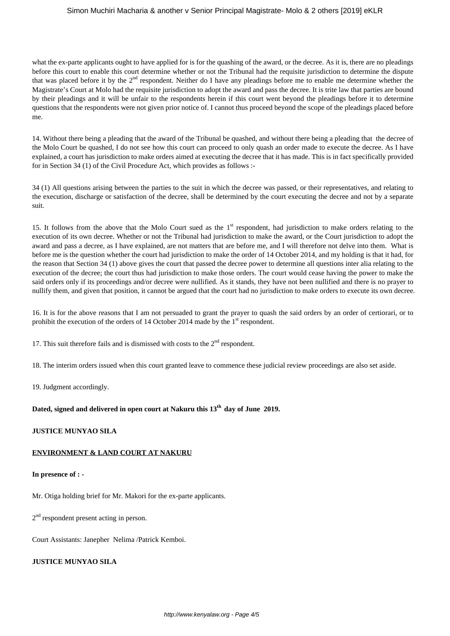### Simon Muchiri Macharia & another v Senior Principal Magistrate- Molo & 2 others [2019] eKLR

what the ex-parte applicants ought to have applied for is for the quashing of the award, or the decree. As it is, there are no pleadings before this court to enable this court determine whether or not the Tribunal had the requisite jurisdiction to determine the dispute that was placed before it by the 2nd respondent. Neither do I have any pleadings before me to enable me determine whether the Magistrate's Court at Molo had the requisite jurisdiction to adopt the award and pass the decree. It is trite law that parties are bound by their pleadings and it will be unfair to the respondents herein if this court went beyond the pleadings before it to determine questions that the respondents were not given prior notice of. I cannot thus proceed beyond the scope of the pleadings placed before me.

14. Without there being a pleading that the award of the Tribunal be quashed, and without there being a pleading that the decree of the Molo Court be quashed, I do not see how this court can proceed to only quash an order made to execute the decree. As I have explained, a court has jurisdiction to make orders aimed at executing the decree that it has made. This is in fact specifically provided for in Section 34 (1) of the Civil Procedure Act, which provides as follows :-

34 (1) All questions arising between the parties to the suit in which the decree was passed, or their representatives, and relating to the execution, discharge or satisfaction of the decree, shall be determined by the court executing the decree and not by a separate suit.

15. It follows from the above that the Molo Court sued as the  $1<sup>st</sup>$  respondent, had jurisdiction to make orders relating to the execution of its own decree. Whether or not the Tribunal had jurisdiction to make the award, or the Court jurisdiction to adopt the award and pass a decree, as I have explained, are not matters that are before me, and I will therefore not delve into them. What is before me is the question whether the court had jurisdiction to make the order of 14 October 2014, and my holding is that it had, for the reason that Section 34 (1) above gives the court that passed the decree power to determine all questions inter alia relating to the execution of the decree; the court thus had jurisdiction to make those orders. The court would cease having the power to make the said orders only if its proceedings and/or decree were nullified. As it stands, they have not been nullified and there is no prayer to nullify them, and given that position, it cannot be argued that the court had no jurisdiction to make orders to execute its own decree.

16. It is for the above reasons that I am not persuaded to grant the prayer to quash the said orders by an order of certiorari, or to prohibit the execution of the orders of 14 October 2014 made by the  $1<sup>st</sup>$  respondent.

17. This suit therefore fails and is dismissed with costs to the  $2<sup>nd</sup>$  respondent.

18. The interim orders issued when this court granted leave to commence these judicial review proceedings are also set aside.

19. Judgment accordingly.

# **Dated, signed and delivered in open court at Nakuru this 13th day of June 2019.**

### **JUSTICE MUNYAO SILA**

#### **ENVIRONMENT & LAND COURT AT NAKURU**

#### **In presence of : -**

Mr. Otiga holding brief for Mr. Makori for the ex-parte applicants.

2<sup>nd</sup> respondent present acting in person.

Court Assistants: Janepher Nelima /Patrick Kemboi.

### **JUSTICE MUNYAO SILA**